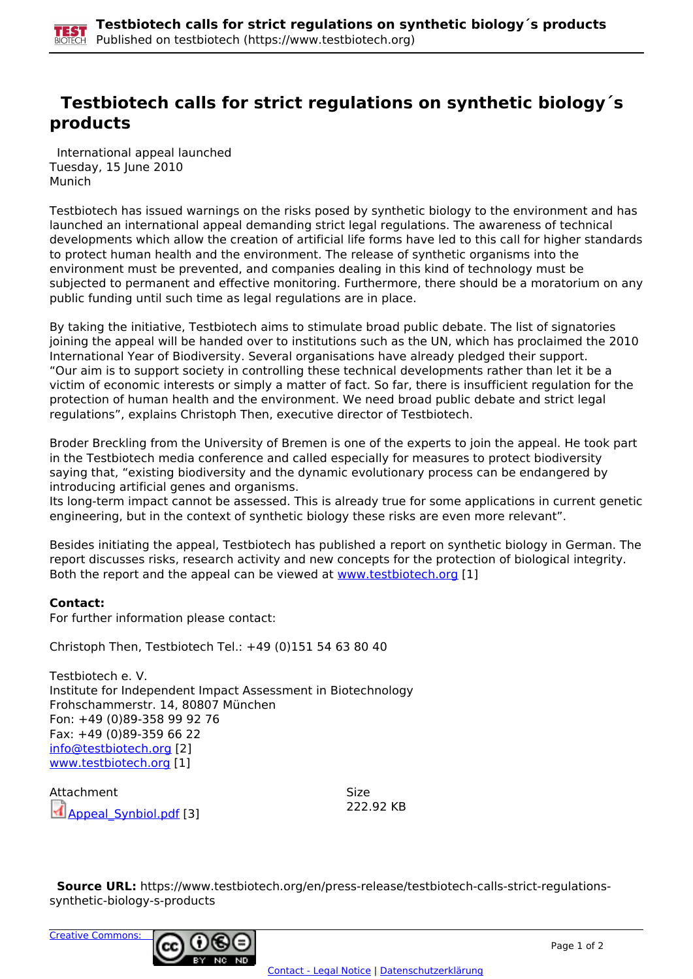## **Testbiotech calls for strict regulations on synthetic biology´s products**

 International appeal launched Tuesday, 15 June 2010 Munich

Testbiotech has issued warnings on the risks posed by synthetic biology to the environment and has launched an international appeal demanding strict legal regulations. The awareness of technical developments which allow the creation of artificial life forms have led to this call for higher standards to protect human health and the environment. The release of synthetic organisms into the environment must be prevented, and companies dealing in this kind of technology must be subjected to permanent and effective monitoring. Furthermore, there should be a moratorium on any public funding until such time as legal regulations are in place.

By taking the initiative, Testbiotech aims to stimulate broad public debate. The list of signatories joining the appeal will be handed over to institutions such as the UN, which has proclaimed the 2010 International Year of Biodiversity. Several organisations have already pledged their support. "Our aim is to support society in controlling these technical developments rather than let it be a victim of economic interests or simply a matter of fact. So far, there is insufficient regulation for the protection of human health and the environment. We need broad public debate and strict legal regulations", explains Christoph Then, executive director of Testbiotech.

Broder Breckling from the University of Bremen is one of the experts to join the appeal. He took part in the Testbiotech media conference and called especially for measures to protect biodiversity saying that, "existing biodiversity and the dynamic evolutionary process can be endangered by introducing artificial genes and organisms.

Its long-term impact cannot be assessed. This is already true for some applications in current genetic engineering, but in the context of synthetic biology these risks are even more relevant".

Besides initiating the appeal, Testbiotech has published a report on synthetic biology in German. The report discusses risks, research activity and new concepts for the protection of biological integrity. Both the report and the appeal can be viewed at [www.testbiotech.org](http://www.testbiotech.org) [1]

## **Contact:**

For further information please contact:

Christoph Then, Testbiotech Tel.: +49 (0)151 54 63 80 40

Testbiotech e. V. Institute for Independent Impact Assessment in Biotechnology Frohschammerstr. 14, 80807 München Fon: +49 (0)89-358 99 92 76 Fax: +49 (0)89-359 66 22 info@testbiotech.org [2] www.testbiotech.org [1]

Attachment Size Appeal\_Synbiol.pdf [3] 222.92 KB

 **Source URL:** https://www.testbiotech.org/en/press-release/testbiotech-calls-strict-regulationssynthetic-biology-s-products